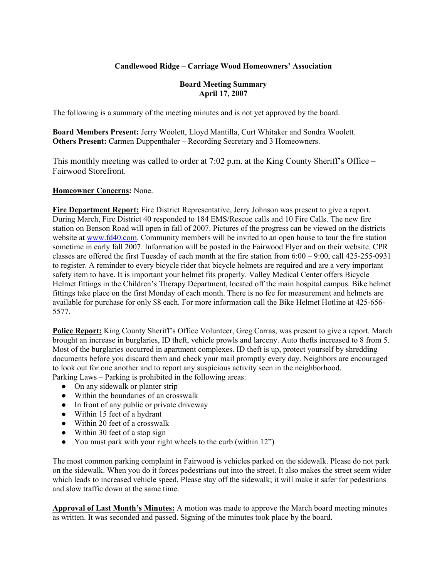## **Candlewood Ridge – Carriage Wood Homeowners' Association**

#### **Board Meeting Summary April 17, 2007**

The following is a summary of the meeting minutes and is not yet approved by the board.

**Board Members Present:** Jerry Woolett, Lloyd Mantilla, Curt Whitaker and Sondra Woolett. **Others Present:** Carmen Duppenthaler – Recording Secretary and 3 Homeowners.

This monthly meeting was called to order at 7:02 p.m. at the King County Sheriff's Office – Fairwood Storefront.

#### **Homeowner Concerns:** None.

**Fire Department Report:** Fire District Representative, Jerry Johnson was present to give a report. During March, Fire District 40 responded to 184 EMS/Rescue calls and 10 Fire Calls. The new fire station on Benson Road will open in fall of 2007. Pictures of the progress can be viewed on the districts website at www.fd40.com. Community members will be invited to an open house to tour the fire station sometime in early fall 2007. Information will be posted in the Fairwood Flyer and on their website. CPR classes are offered the first Tuesday of each month at the fire station from 6:00 – 9:00, call 425-255-0931 to register. A reminder to every bicycle rider that bicycle helmets are required and are a very important safety item to have. It is important your helmet fits properly. Valley Medical Center offers Bicycle Helmet fittings in the Children's Therapy Department, located off the main hospital campus. Bike helmet fittings take place on the first Monday of each month. There is no fee for measurement and helmets are available for purchase for only \$8 each. For more information call the Bike Helmet Hotline at 425-656- 5577.

**Police Report:** King County Sheriff's Office Volunteer, Greg Carras, was present to give a report. March brought an increase in burglaries, ID theft, vehicle prowls and larceny. Auto thefts increased to 8 from 5. Most of the burglaries occurred in apartment complexes. ID theft is up, protect yourself by shredding documents before you discard them and check your mail promptly every day. Neighbors are encouraged to look out for one another and to report any suspicious activity seen in the neighborhood. Parking Laws – Parking is prohibited in the following areas:

- On any sidewalk or planter strip
- Within the boundaries of an crosswalk
- In front of any public or private driveway
- Within 15 feet of a hydrant
- Within 20 feet of a crosswalk
- Within 30 feet of a stop sign
- You must park with your right wheels to the curb (within 12")

The most common parking complaint in Fairwood is vehicles parked on the sidewalk. Please do not park on the sidewalk. When you do it forces pedestrians out into the street. It also makes the street seem wider which leads to increased vehicle speed. Please stay off the sidewalk; it will make it safer for pedestrians and slow traffic down at the same time.

**Approval of Last Month's Minutes:** A motion was made to approve the March board meeting minutes as written. It was seconded and passed. Signing of the minutes took place by the board.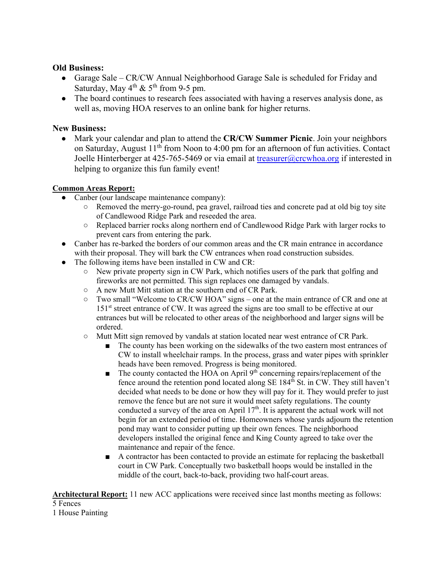## **Old Business:**

- Garage Sale CR/CW Annual Neighborhood Garage Sale is scheduled for Friday and Saturday, May  $4^{th}$  &  $5^{th}$  from 9-5 pm.
- The board continues to research fees associated with having a reserves analysis done, as well as, moving HOA reserves to an online bank for higher returns.

# **New Business:**

● Mark your calendar and plan to attend the **CR/CW Summer Picnic**. Join your neighbors on Saturday, August 11<sup>th</sup> from Noon to 4:00 pm for an afternoon of fun activities. Contact Joelle Hinterberger at 425-765-5469 or via email at treasurer@crcwhoa.org if interested in helping to organize this fun family event!

# **Common Areas Report:**

- Canber (our landscape maintenance company):
	- Removed the merry-go-round, pea gravel, railroad ties and concrete pad at old big toy site of Candlewood Ridge Park and reseeded the area.
	- Replaced barrier rocks along northern end of Candlewood Ridge Park with larger rocks to prevent cars from entering the park.
- Canber has re-barked the borders of our common areas and the CR main entrance in accordance with their proposal. They will bark the CW entrances when road construction subsides.
- The following items have been installed in CW and CR:
	- New private property sign in CW Park, which notifies users of the park that golfing and fireworks are not permitted. This sign replaces one damaged by vandals.
	- A new Mutt Mitt station at the southern end of CR Park.
	- Two small "Welcome to CR/CW HOA" signs one at the main entrance of CR and one at 151<sup>st</sup> street entrance of CW. It was agreed the signs are too small to be effective at our entrances but will be relocated to other areas of the neighborhood and larger signs will be ordered.
	- Mutt Mitt sign removed by vandals at station located near west entrance of CR Park.
		- The county has been working on the sidewalks of the two eastern most entrances of CW to install wheelchair ramps. In the process, grass and water pipes with sprinkler heads have been removed. Progress is being monitored.
		- $\blacksquare$  The county contacted the HOA on April 9<sup>th</sup> concerning repairs/replacement of the fence around the retention pond located along  $SE 184<sup>th</sup>$  St. in CW. They still haven't decided what needs to be done or how they will pay for it. They would prefer to just remove the fence but are not sure it would meet safety regulations. The county conducted a survey of the area on April  $17<sup>th</sup>$ . It is apparent the actual work will not begin for an extended period of time. Homeowners whose yards adjourn the retention pond may want to consider putting up their own fences. The neighborhood developers installed the original fence and King County agreed to take over the maintenance and repair of the fence.
		- A contractor has been contacted to provide an estimate for replacing the basketball court in CW Park. Conceptually two basketball hoops would be installed in the middle of the court, back-to-back, providing two half-court areas.

**Architectural Report:** 11 new ACC applications were received since last months meeting as follows: 5 Fences

1 House Painting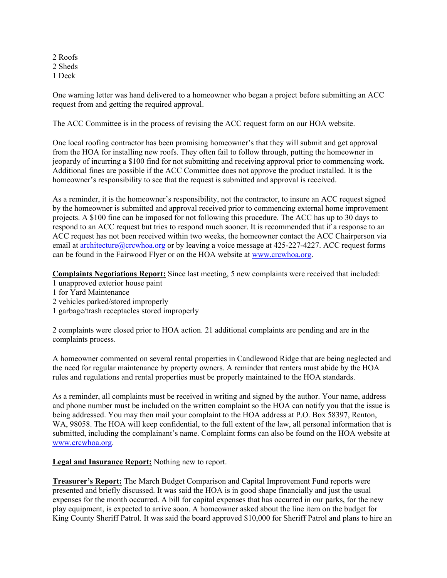2 Roofs 2 Sheds 1 Deck

One warning letter was hand delivered to a homeowner who began a project before submitting an ACC request from and getting the required approval.

The ACC Committee is in the process of revising the ACC request form on our HOA website.

One local roofing contractor has been promising homeowner's that they will submit and get approval from the HOA for installing new roofs. They often fail to follow through, putting the homeowner in jeopardy of incurring a \$100 find for not submitting and receiving approval prior to commencing work. Additional fines are possible if the ACC Committee does not approve the product installed. It is the homeowner's responsibility to see that the request is submitted and approval is received.

As a reminder, it is the homeowner's responsibility, not the contractor, to insure an ACC request signed by the homeowner is submitted and approval received prior to commencing external home improvement projects. A \$100 fine can be imposed for not following this procedure. The ACC has up to 30 days to respond to an ACC request but tries to respond much sooner. It is recommended that if a response to an ACC request has not been received within two weeks, the homeowner contact the ACC Chairperson via email at architecture@crcwhoa.org or by leaving a voice message at 425-227-4227. ACC request forms can be found in the Fairwood Flyer or on the HOA website at www.crcwhoa.org.

**Complaints Negotiations Report:** Since last meeting, 5 new complaints were received that included:

- 1 unapproved exterior house paint
- 1 for Yard Maintenance
- 2 vehicles parked/stored improperly
- 1 garbage/trash receptacles stored improperly

2 complaints were closed prior to HOA action. 21 additional complaints are pending and are in the complaints process.

A homeowner commented on several rental properties in Candlewood Ridge that are being neglected and the need for regular maintenance by property owners. A reminder that renters must abide by the HOA rules and regulations and rental properties must be properly maintained to the HOA standards.

As a reminder, all complaints must be received in writing and signed by the author. Your name, address and phone number must be included on the written complaint so the HOA can notify you that the issue is being addressed. You may then mail your complaint to the HOA address at P.O. Box 58397, Renton, WA, 98058. The HOA will keep confidential, to the full extent of the law, all personal information that is submitted, including the complainant's name. Complaint forms can also be found on the HOA website at www.crcwhoa.org.

**Legal and Insurance Report:** Nothing new to report.

**Treasurer's Report:** The March Budget Comparison and Capital Improvement Fund reports were presented and briefly discussed. It was said the HOA is in good shape financially and just the usual expenses for the month occurred. A bill for capital expenses that has occurred in our parks, for the new play equipment, is expected to arrive soon. A homeowner asked about the line item on the budget for King County Sheriff Patrol. It was said the board approved \$10,000 for Sheriff Patrol and plans to hire an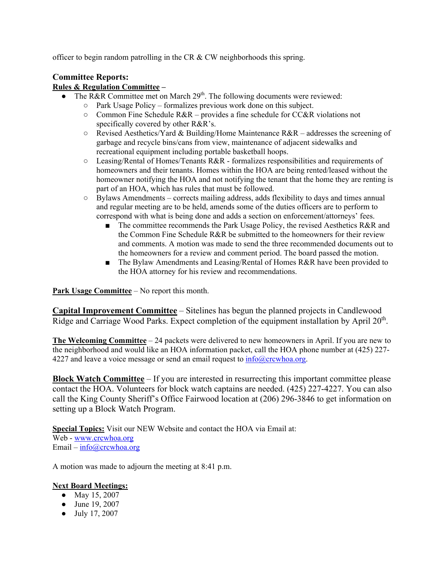officer to begin random patrolling in the CR & CW neighborhoods this spring.

# **Committee Reports:**

#### **Rules & Regulation Committee –**

- The R&R Committee met on March  $29<sup>th</sup>$ . The following documents were reviewed:
	- Park Usage Policy formalizes previous work done on this subject.
		- $\circ$  Common Fine Schedule R&R provides a fine schedule for CC&R violations not specifically covered by other R&R's.
		- Revised Aesthetics/Yard & Building/Home Maintenance R&R addresses the screening of garbage and recycle bins/cans from view, maintenance of adjacent sidewalks and recreational equipment including portable basketball hoops.
		- Leasing/Rental of Homes/Tenants R&R formalizes responsibilities and requirements of homeowners and their tenants. Homes within the HOA are being rented/leased without the homeowner notifying the HOA and not notifying the tenant that the home they are renting is part of an HOA, which has rules that must be followed.
		- $\circ$  Bylaws Amendments corrects mailing address, adds flexibility to days and times annual and regular meeting are to be held, amends some of the duties officers are to perform to correspond with what is being done and adds a section on enforcement/attorneys' fees.
			- The committee recommends the Park Usage Policy, the revised Aesthetics R&R and the Common Fine Schedule R&R be submitted to the homeowners for their review and comments. A motion was made to send the three recommended documents out to the homeowners for a review and comment period. The board passed the motion.
			- The Bylaw Amendments and Leasing/Rental of Homes R&R have been provided to the HOA attorney for his review and recommendations.

**Park Usage Committee** – No report this month.

**Capital Improvement Committee** – Sitelines has begun the planned projects in Candlewood Ridge and Carriage Wood Parks. Expect completion of the equipment installation by April 20<sup>th</sup>.

**The Welcoming Committee** – 24 packets were delivered to new homeowners in April. If you are new to the neighborhood and would like an HOA information packet, call the HOA phone number at (425) 227- 4227 and leave a voice message or send an email request to  $\frac{info@crcwhoa.org}{$ .

**Block Watch Committee** – If you are interested in resurrecting this important committee please contact the HOA. Volunteers for block watch captains are needed. (425) 227-4227. You can also call the King County Sheriff's Office Fairwood location at (206) 296-3846 to get information on setting up a Block Watch Program.

**Special Topics:** Visit our NEW Website and contact the HOA via Email at: Web - www.crcwhoa.org Email – info@crcwhoa.org

A motion was made to adjourn the meeting at 8:41 p.m.

## **Next Board Meetings:**

- May 15, 2007
- June 19, 2007
- July 17, 2007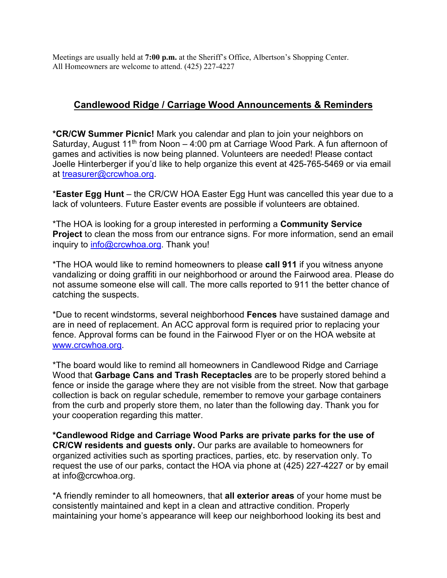Meetings are usually held at **7:00 p.m.** at the Sheriff's Office, Albertson's Shopping Center. All Homeowners are welcome to attend. (425) 227-4227

# **Candlewood Ridge / Carriage Wood Announcements & Reminders**

**\*CR/CW Summer Picnic!** Mark you calendar and plan to join your neighbors on Saturday, August 11<sup>th</sup> from Noon  $-$  4:00 pm at Carriage Wood Park. A fun afternoon of games and activities is now being planned. Volunteers are needed! Please contact Joelle Hinterberger if you'd like to help organize this event at 425-765-5469 or via email at treasurer@crcwhoa.org.

\***Easter Egg Hunt** – the CR/CW HOA Easter Egg Hunt was cancelled this year due to a lack of volunteers. Future Easter events are possible if volunteers are obtained.

\*The HOA is looking for a group interested in performing a **Community Service Project** to clean the moss from our entrance signs. For more information, send an email inquiry to info@crcwhoa.org. Thank you!

\*The HOA would like to remind homeowners to please **call 911** if you witness anyone vandalizing or doing graffiti in our neighborhood or around the Fairwood area. Please do not assume someone else will call. The more calls reported to 911 the better chance of catching the suspects.

\*Due to recent windstorms, several neighborhood **Fences** have sustained damage and are in need of replacement. An ACC approval form is required prior to replacing your fence. Approval forms can be found in the Fairwood Flyer or on the HOA website at www.crcwhoa.org.

\*The board would like to remind all homeowners in Candlewood Ridge and Carriage Wood that **Garbage Cans and Trash Receptacles** are to be properly stored behind a fence or inside the garage where they are not visible from the street. Now that garbage collection is back on regular schedule, remember to remove your garbage containers from the curb and properly store them, no later than the following day. Thank you for your cooperation regarding this matter.

**\*Candlewood Ridge and Carriage Wood Parks are private parks for the use of CR/CW residents and guests only.** Our parks are available to homeowners for organized activities such as sporting practices, parties, etc. by reservation only. To request the use of our parks, contact the HOA via phone at (425) 227-4227 or by email at info@crcwhoa.org.

\*A friendly reminder to all homeowners, that **all exterior areas** of your home must be consistently maintained and kept in a clean and attractive condition. Properly maintaining your home's appearance will keep our neighborhood looking its best and